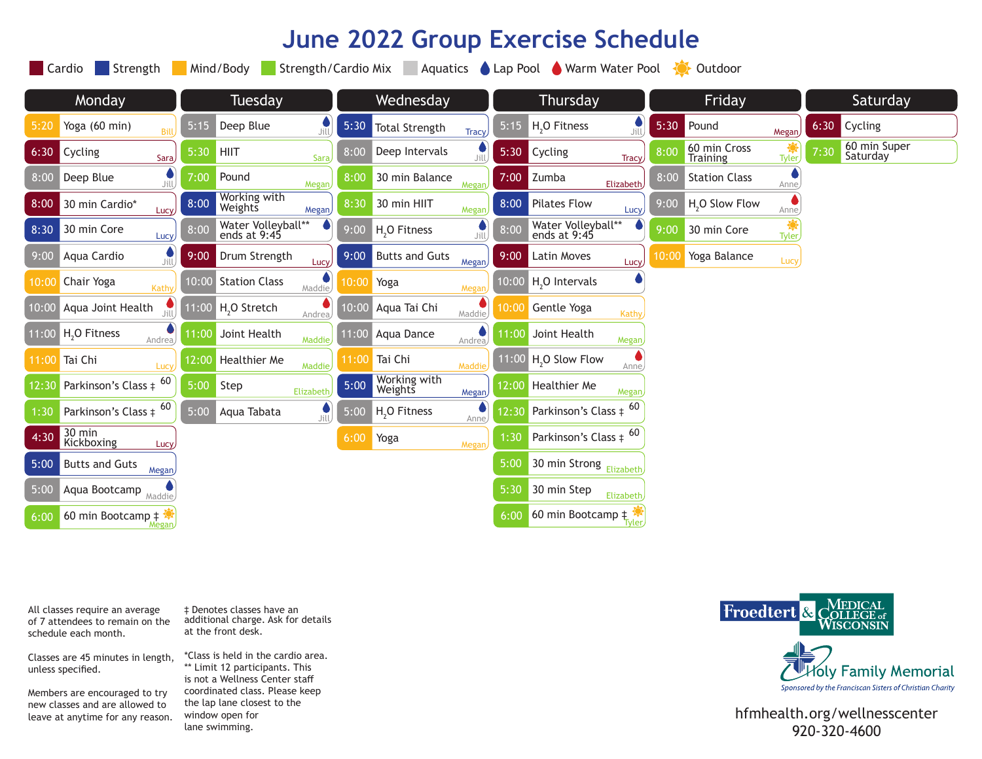# **June 2022 Group Exercise Schedule**

|        | Cardio<br>Strength<br>Mind/Body<br>Strength/Cardio Mix<br>Aquatics<br>Lap Pool Warm Water Pool<br>Outdoor<br>$\left\{ \bullet \right\}$ |         |                                           |       |                          |        |       |                                    |              |        |                                 |              |          |                          |  |
|--------|-----------------------------------------------------------------------------------------------------------------------------------------|---------|-------------------------------------------|-------|--------------------------|--------|-------|------------------------------------|--------------|--------|---------------------------------|--------------|----------|--------------------------|--|
| Monday |                                                                                                                                         | Tuesday |                                           |       | Wednesday                |        |       | Thursday                           |              | Friday |                                 |              | Saturday |                          |  |
| 5:20   | Yoga (60 min)<br>Bill                                                                                                                   | 5:15    | Deep Blue<br>Jill                         | 5:30  | <b>Total Strength</b>    | Tracy  | 5:15  | H <sub>2</sub> O Fitness           | ے<br>Jill    | 5:30   | Pound                           | Megan        | 6:30     | Cycling                  |  |
| 6:30   | Cycling<br>Sara                                                                                                                         | 5:30    | <b>HIIT</b><br>Sara,                      | 8:00  | Deep Intervals           | Jill   | 5:30  | Cycling                            | <b>Tracy</b> | 8:00   | 60 min Cross<br><b>Training</b> | <b>Tyler</b> | 7:30     | 60 min Super<br>Saturday |  |
| 8:00   | $\bullet$<br>Deep Blue<br>Jill.                                                                                                         | 7:00    | Pound<br>Megan                            | 8:00  | 30 min Balance           | Megar  | 7:00  | Zumba                              | Elizabeth    | 8:00   | <b>Station Class</b>            | Anne         |          |                          |  |
| 8:00   | 30 min Cardio*<br>Lucy                                                                                                                  | 8:00    | Working with<br>Weights<br>Megan          | 8:30  | 30 min HIIT              | Megan  | 8:00  | <b>Pilates Flow</b>                | Lucy         | 9:00   | H <sub>2</sub> O Slow Flow      | Anne,        |          |                          |  |
| 8:30   | 30 min Core<br>Lucy                                                                                                                     | 8:00    | Water Volleyball**<br>ends at 9:45        | 9:00  | H <sub>2</sub> O Fitness | Jill)  | 8:00  | Water Volleyball**<br>ends at 9:45 |              | 9:00   | 30 min Core                     | Tyler        |          |                          |  |
| 9:00   | Aqua Cardio<br>Jill.                                                                                                                    | 9:00    | Drum Strength<br>Lucy,                    | 9:00  | <b>Butts and Guts</b>    | Megan) | 9:00  | Latin Moves                        | Lucy,        | 10:00  | Yoga Balance                    | Lucy         |          |                          |  |
| 10:00  | Chair Yoga<br>Kathy                                                                                                                     | 10:00   | <b>Station Class</b><br>Maddie            | 10:00 | Yoga                     | Megar  | 10:00 | H <sub>2</sub> O Intervals         |              |        |                                 |              |          |                          |  |
| 10:00  | Aqua Joint Health                                                                                                                       |         | 11:00 H <sub>2</sub> O Stretch<br>Andrea, | 10:00 | Aqua Tai Chi             | Maddie | 10:0  | Gentle Yoga                        | Kathy        |        |                                 |              |          |                          |  |
| 11:00  | H <sub>2</sub> O Fitness<br>Andrea                                                                                                      | 11:00   | Joint Health<br>Maddie                    | 11:00 | Aqua Dance               | Andrea | 11:00 | Joint Health                       | Megan        |        |                                 |              |          |                          |  |
| 11:00  | Tai Chi<br>Lucy,                                                                                                                        | 12:00   | <b>Healthier Me</b><br>Maddie             | 11:00 | Tai Chi                  | Maddie | 11:00 | H <sub>2</sub> O Slow Flow         | Anne         |        |                                 |              |          |                          |  |
| 12:30  | 60<br>Parkinson's Class ‡                                                                                                               | 5:00    | Step<br>Elizabeth                         | 5:00  | Working with<br>Weights  | Megan  | 12:00 | Healthier Me                       | Megan        |        |                                 |              |          |                          |  |
| 1:30   | Parkinson's Class $\pm$ <sup>60</sup>                                                                                                   | 5:00    | Aqua Tabata<br>Jill.                      | 5:00  | H <sub>2</sub> O Fitness | Anne,  | 12:30 | Parkinson's Class ‡                | 60           |        |                                 |              |          |                          |  |
| 4:30   | 30 min<br>Kickboxing<br>Lucy                                                                                                            |         |                                           | 6:00  | Yoga                     | Megan  | 1:30  | Parkinson's Class $\pm$ 60         |              |        |                                 |              |          |                          |  |
| 5:00   | <b>Butts and Guts</b><br>Megan,                                                                                                         |         |                                           |       |                          |        | 5:00  | 30 min Strong Elizabeth            |              |        |                                 |              |          |                          |  |
| 5:00   | Aqua Bootcamp<br>Maddie <sup>1</sup>                                                                                                    |         |                                           |       |                          |        | 5:30  | 30 min Step                        | Elizabeth,   |        |                                 |              |          |                          |  |
| 6:00   | 60 min Bootcamp $\ddagger$<br>Megan,                                                                                                    |         |                                           |       |                          |        | 6:00  | 60 min Bootcamp $\pm$              |              |        |                                 |              |          |                          |  |

All classes require an average of 7 attendees to remain on the schedule each month.

Classes are 45 minutes in length, unless specified.

Members are encouraged to try new classes and are allowed to

‡ Denotes classes have an additional charge. Ask for details at the front desk.

\*Class is held in the cardio area. \*\* Limit 12 participants. This is not a Wellness Center staff coordinated class. Please keep the lap lane closest to the window open for lane swimming.



new classes and are allowed to the tap tane effects. It is the control one of the control of the tap tane effects of the control of the tap tane effects of the control of the tap tane effects of the control of the tap tane 920-320-4600